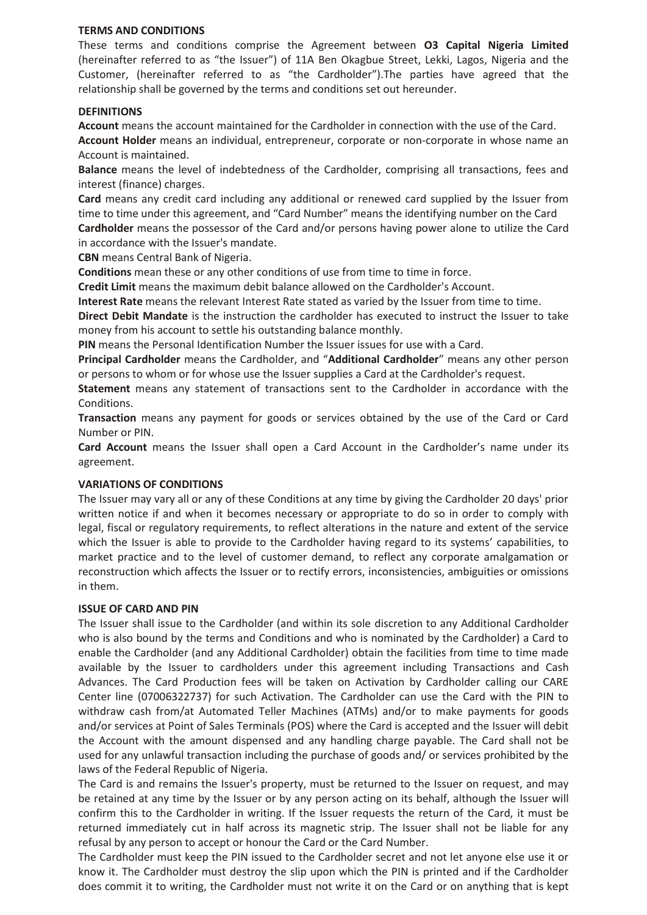#### **TERMS AND CONDITIONS**

These terms and conditions comprise the Agreement between **O3 Capital Nigeria Limited**  (hereinafter referred to as "the Issuer") of 11A Ben Okagbue Street, Lekki, Lagos, Nigeria and the Customer, (hereinafter referred to as "the Cardholder").The parties have agreed that the relationship shall be governed by the terms and conditions set out hereunder.

### **DEFINITIONS**

**Account** means the account maintained for the Cardholder in connection with the use of the Card.

**Account Holder** means an individual, entrepreneur, corporate or non-corporate in whose name an Account is maintained.

**Balance** means the level of indebtedness of the Cardholder, comprising all transactions, fees and interest (finance) charges.

**Card** means any credit card including any additional or renewed card supplied by the Issuer from time to time under this agreement, and "Card Number" means the identifying number on the Card **Cardholder** means the possessor of the Card and/or persons having power alone to utilize the Card in accordance with the Issuer's mandate.

**CBN** means Central Bank of Nigeria.

**Conditions** mean these or any other conditions of use from time to time in force.

**Credit Limit** means the maximum debit balance allowed on the Cardholder's Account.

**Interest Rate** means the relevant Interest Rate stated as varied by the Issuer from time to time.

**Direct Debit Mandate** is the instruction the cardholder has executed to instruct the Issuer to take money from his account to settle his outstanding balance monthly.

**PIN** means the Personal Identification Number the Issuer issues for use with a Card.

**Principal Cardholder** means the Cardholder, and "**Additional Cardholder**" means any other person or persons to whom or for whose use the Issuer supplies a Card at the Cardholder's request.

**Statement** means any statement of transactions sent to the Cardholder in accordance with the Conditions.

**Transaction** means any payment for goods or services obtained by the use of the Card or Card Number or PIN.

**Card Account** means the Issuer shall open a Card Account in the Cardholder's name under its agreement.

### **VARIATIONS OF CONDITIONS**

The Issuer may vary all or any of these Conditions at any time by giving the Cardholder 20 days' prior written notice if and when it becomes necessary or appropriate to do so in order to comply with legal, fiscal or regulatory requirements, to reflect alterations in the nature and extent of the service which the Issuer is able to provide to the Cardholder having regard to its systems' capabilities, to market practice and to the level of customer demand, to reflect any corporate amalgamation or reconstruction which affects the Issuer or to rectify errors, inconsistencies, ambiguities or omissions in them.

### **ISSUE OF CARD AND PIN**

The Issuer shall issue to the Cardholder (and within its sole discretion to any Additional Cardholder who is also bound by the terms and Conditions and who is nominated by the Cardholder) a Card to enable the Cardholder (and any Additional Cardholder) obtain the facilities from time to time made available by the Issuer to cardholders under this agreement including Transactions and Cash Advances. The Card Production fees will be taken on Activation by Cardholder calling our CARE Center line (07006322737) for such Activation. The Cardholder can use the Card with the PIN to withdraw cash from/at Automated Teller Machines (ATMs) and/or to make payments for goods and/or services at Point of Sales Terminals (POS) where the Card is accepted and the Issuer will debit the Account with the amount dispensed and any handling charge payable. The Card shall not be used for any unlawful transaction including the purchase of goods and/ or services prohibited by the laws of the Federal Republic of Nigeria.

The Card is and remains the Issuer's property, must be returned to the Issuer on request, and may be retained at any time by the Issuer or by any person acting on its behalf, although the Issuer will confirm this to the Cardholder in writing. If the Issuer requests the return of the Card, it must be returned immediately cut in half across its magnetic strip. The Issuer shall not be liable for any refusal by any person to accept or honour the Card or the Card Number.

The Cardholder must keep the PIN issued to the Cardholder secret and not let anyone else use it or know it. The Cardholder must destroy the slip upon which the PIN is printed and if the Cardholder does commit it to writing, the Cardholder must not write it on the Card or on anything that is kept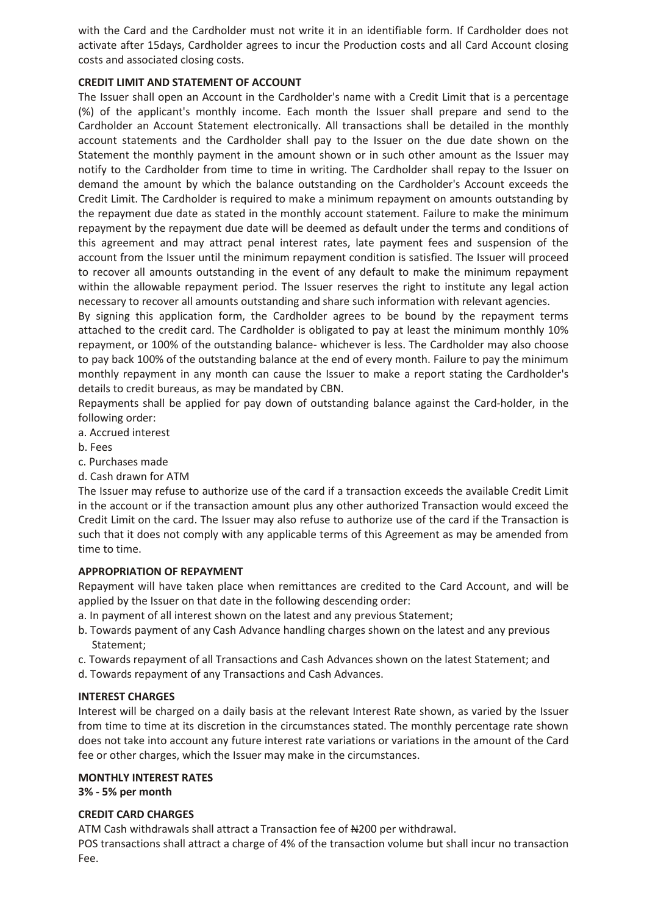with the Card and the Cardholder must not write it in an identifiable form. If Cardholder does not activate after 15days, Cardholder agrees to incur the Production costs and all Card Account closing costs and associated closing costs.

# **CREDIT LIMIT AND STATEMENT OF ACCOUNT**

The Issuer shall open an Account in the Cardholder's name with a Credit Limit that is a percentage (%) of the applicant's monthly income. Each month the Issuer shall prepare and send to the Cardholder an Account Statement electronically. All transactions shall be detailed in the monthly account statements and the Cardholder shall pay to the Issuer on the due date shown on the Statement the monthly payment in the amount shown or in such other amount as the Issuer may notify to the Cardholder from time to time in writing. The Cardholder shall repay to the Issuer on demand the amount by which the balance outstanding on the Cardholder's Account exceeds the Credit Limit. The Cardholder is required to make a minimum repayment on amounts outstanding by the repayment due date as stated in the monthly account statement. Failure to make the minimum repayment by the repayment due date will be deemed as default under the terms and conditions of this agreement and may attract penal interest rates, late payment fees and suspension of the account from the Issuer until the minimum repayment condition is satisfied. The Issuer will proceed to recover all amounts outstanding in the event of any default to make the minimum repayment within the allowable repayment period. The Issuer reserves the right to institute any legal action necessary to recover all amounts outstanding and share such information with relevant agencies.

By signing this application form, the Cardholder agrees to be bound by the repayment terms attached to the credit card. The Cardholder is obligated to pay at least the minimum monthly 10% repayment, or 100% of the outstanding balance- whichever is less. The Cardholder may also choose to pay back 100% of the outstanding balance at the end of every month. Failure to pay the minimum monthly repayment in any month can cause the Issuer to make a report stating the Cardholder's details to credit bureaus, as may be mandated by CBN.

Repayments shall be applied for pay down of outstanding balance against the Card-holder, in the following order:

- a. Accrued interest
- b. Fees
- c. Purchases made
- d. Cash drawn for ATM

The Issuer may refuse to authorize use of the card if a transaction exceeds the available Credit Limit in the account or if the transaction amount plus any other authorized Transaction would exceed the Credit Limit on the card. The Issuer may also refuse to authorize use of the card if the Transaction is such that it does not comply with any applicable terms of this Agreement as may be amended from time to time.

## **APPROPRIATION OF REPAYMENT**

Repayment will have taken place when remittances are credited to the Card Account, and will be applied by the Issuer on that date in the following descending order:

- a. In payment of all interest shown on the latest and any previous Statement;
- b. Towards payment of any Cash Advance handling charges shown on the latest and any previous Statement;
- c. Towards repayment of all Transactions and Cash Advances shown on the latest Statement; and
- d. Towards repayment of any Transactions and Cash Advances.

# **INTEREST CHARGES**

Interest will be charged on a daily basis at the relevant Interest Rate shown, as varied by the Issuer from time to time at its discretion in the circumstances stated. The monthly percentage rate shown does not take into account any future interest rate variations or variations in the amount of the Card fee or other charges, which the Issuer may make in the circumstances.

### **MONTHLY INTEREST RATES**

**3% - 5% per month**

### **CREDIT CARD CHARGES**

ATM Cash withdrawals shall attract a Transaction fee of N200 per withdrawal.

POS transactions shall attract a charge of 4% of the transaction volume but shall incur no transaction Fee.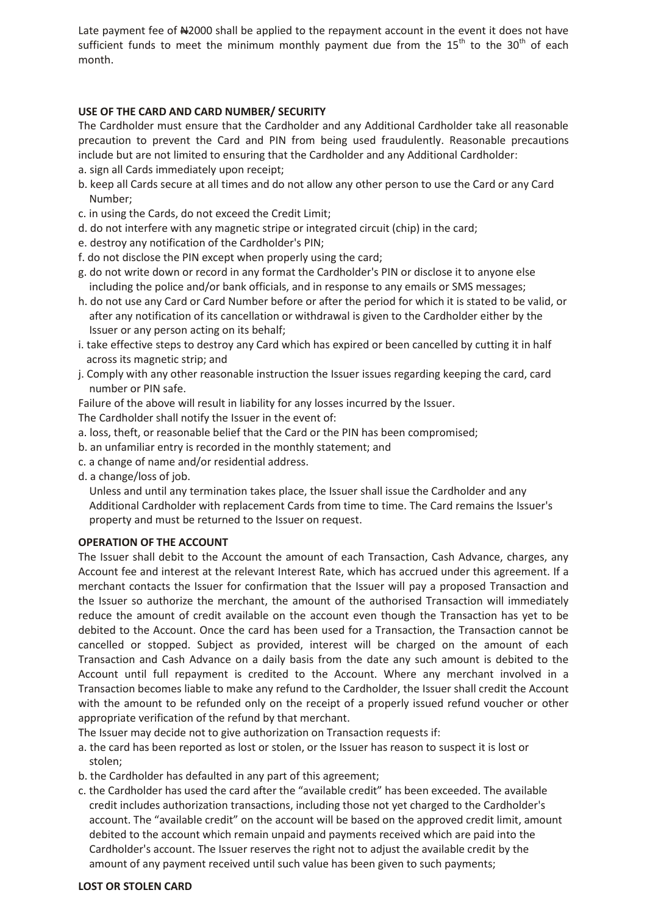Late payment fee of #2000 shall be applied to the repayment account in the event it does not have sufficient funds to meet the minimum monthly payment due from the  $15<sup>th</sup>$  to the  $30<sup>th</sup>$  of each month.

## **USE OF THE CARD AND CARD NUMBER/ SECURITY**

The Cardholder must ensure that the Cardholder and any Additional Cardholder take all reasonable precaution to prevent the Card and PIN from being used fraudulently. Reasonable precautions include but are not limited to ensuring that the Cardholder and any Additional Cardholder:

- a. sign all Cards immediately upon receipt;
- b. keep all Cards secure at all times and do not allow any other person to use the Card or any Card Number;
- c. in using the Cards, do not exceed the Credit Limit;
- d. do not interfere with any magnetic stripe or integrated circuit (chip) in the card;
- e. destroy any notification of the Cardholder's PIN;
- f. do not disclose the PIN except when properly using the card;
- g. do not write down or record in any format the Cardholder's PIN or disclose it to anyone else including the police and/or bank officials, and in response to any emails or SMS messages;
- h. do not use any Card or Card Number before or after the period for which it is stated to be valid, or after any notification of its cancellation or withdrawal is given to the Cardholder either by the Issuer or any person acting on its behalf;
- i. take effective steps to destroy any Card which has expired or been cancelled by cutting it in half across its magnetic strip; and
- j. Comply with any other reasonable instruction the Issuer issues regarding keeping the card, card number or PIN safe.

Failure of the above will result in liability for any losses incurred by the Issuer.

- The Cardholder shall notify the Issuer in the event of:
- a. loss, theft, or reasonable belief that the Card or the PIN has been compromised;
- b. an unfamiliar entry is recorded in the monthly statement; and
- c. a change of name and/or residential address.
- d. a change/loss of job.

 Unless and until any termination takes place, the Issuer shall issue the Cardholder and any Additional Cardholder with replacement Cards from time to time. The Card remains the Issuer's property and must be returned to the Issuer on request.

### **OPERATION OF THE ACCOUNT**

The Issuer shall debit to the Account the amount of each Transaction, Cash Advance, charges, any Account fee and interest at the relevant Interest Rate, which has accrued under this agreement. If a merchant contacts the Issuer for confirmation that the Issuer will pay a proposed Transaction and the Issuer so authorize the merchant, the amount of the authorised Transaction will immediately reduce the amount of credit available on the account even though the Transaction has yet to be debited to the Account. Once the card has been used for a Transaction, the Transaction cannot be cancelled or stopped. Subject as provided, interest will be charged on the amount of each Transaction and Cash Advance on a daily basis from the date any such amount is debited to the Account until full repayment is credited to the Account. Where any merchant involved in a Transaction becomes liable to make any refund to the Cardholder, the Issuer shall credit the Account with the amount to be refunded only on the receipt of a properly issued refund voucher or other appropriate verification of the refund by that merchant.

The Issuer may decide not to give authorization on Transaction requests if:

- a. the card has been reported as lost or stolen, or the Issuer has reason to suspect it is lost or stolen;
- b. the Cardholder has defaulted in any part of this agreement;
- c. the Cardholder has used the card after the "available credit" has been exceeded. The available credit includes authorization transactions, including those not yet charged to the Cardholder's account. The "available credit" on the account will be based on the approved credit limit, amount debited to the account which remain unpaid and payments received which are paid into the Cardholder's account. The Issuer reserves the right not to adjust the available credit by the amount of any payment received until such value has been given to such payments;

#### **LOST OR STOLEN CARD**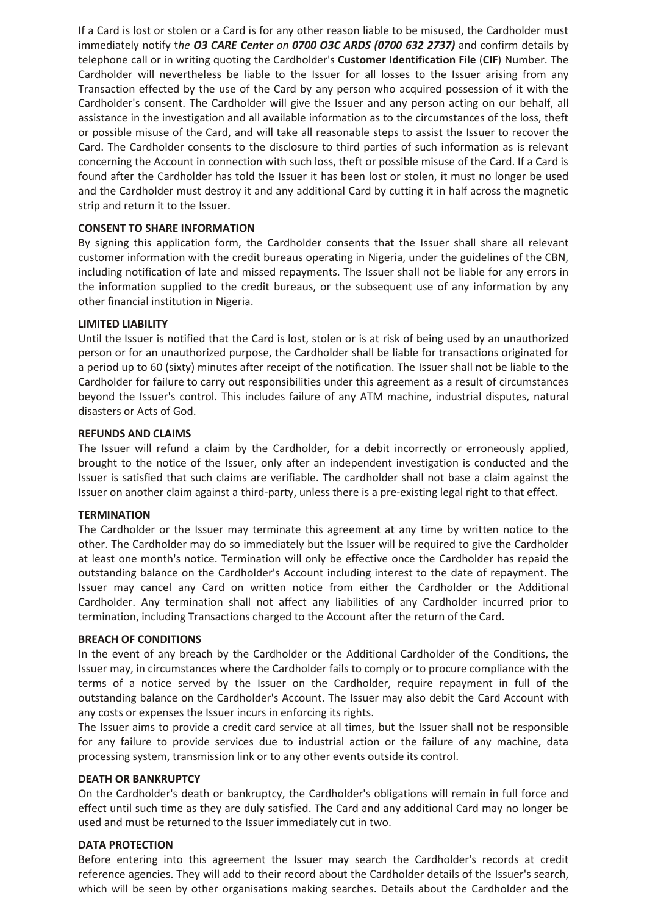If a Card is lost or stolen or a Card is for any other reason liable to be misused, the Cardholder must immediately notify t*he O3 CARE Center on 0700 O3C ARDS (0700 632 2737)* and confirm details by telephone call or in writing quoting the Cardholder's **Customer Identification File** (**CIF**) Number. The Cardholder will nevertheless be liable to the Issuer for all losses to the Issuer arising from any Transaction effected by the use of the Card by any person who acquired possession of it with the Cardholder's consent. The Cardholder will give the Issuer and any person acting on our behalf, all assistance in the investigation and all available information as to the circumstances of the loss, theft or possible misuse of the Card, and will take all reasonable steps to assist the Issuer to recover the Card. The Cardholder consents to the disclosure to third parties of such information as is relevant concerning the Account in connection with such loss, theft or possible misuse of the Card. If a Card is found after the Cardholder has told the Issuer it has been lost or stolen, it must no longer be used and the Cardholder must destroy it and any additional Card by cutting it in half across the magnetic strip and return it to the Issuer.

### **CONSENT TO SHARE INFORMATION**

By signing this application form, the Cardholder consents that the Issuer shall share all relevant customer information with the credit bureaus operating in Nigeria, under the guidelines of the CBN, including notification of late and missed repayments. The Issuer shall not be liable for any errors in the information supplied to the credit bureaus, or the subsequent use of any information by any other financial institution in Nigeria.

#### **LIMITED LIABILITY**

Until the Issuer is notified that the Card is lost, stolen or is at risk of being used by an unauthorized person or for an unauthorized purpose, the Cardholder shall be liable for transactions originated for a period up to 60 (sixty) minutes after receipt of the notification. The Issuer shall not be liable to the Cardholder for failure to carry out responsibilities under this agreement as a result of circumstances beyond the Issuer's control. This includes failure of any ATM machine, industrial disputes, natural disasters or Acts of God.

#### **REFUNDS AND CLAIMS**

The Issuer will refund a claim by the Cardholder, for a debit incorrectly or erroneously applied, brought to the notice of the Issuer, only after an independent investigation is conducted and the Issuer is satisfied that such claims are verifiable. The cardholder shall not base a claim against the Issuer on another claim against a third-party, unless there is a pre-existing legal right to that effect.

### **TERMINATION**

The Cardholder or the Issuer may terminate this agreement at any time by written notice to the other. The Cardholder may do so immediately but the Issuer will be required to give the Cardholder at least one month's notice. Termination will only be effective once the Cardholder has repaid the outstanding balance on the Cardholder's Account including interest to the date of repayment. The Issuer may cancel any Card on written notice from either the Cardholder or the Additional Cardholder. Any termination shall not affect any liabilities of any Cardholder incurred prior to termination, including Transactions charged to the Account after the return of the Card.

#### **BREACH OF CONDITIONS**

In the event of any breach by the Cardholder or the Additional Cardholder of the Conditions, the Issuer may, in circumstances where the Cardholder fails to comply or to procure compliance with the terms of a notice served by the Issuer on the Cardholder, require repayment in full of the outstanding balance on the Cardholder's Account. The Issuer may also debit the Card Account with any costs or expenses the Issuer incurs in enforcing its rights.

The Issuer aims to provide a credit card service at all times, but the Issuer shall not be responsible for any failure to provide services due to industrial action or the failure of any machine, data processing system, transmission link or to any other events outside its control.

#### **DEATH OR BANKRUPTCY**

On the Cardholder's death or bankruptcy, the Cardholder's obligations will remain in full force and effect until such time as they are duly satisfied. The Card and any additional Card may no longer be used and must be returned to the Issuer immediately cut in two.

#### **DATA PROTECTION**

Before entering into this agreement the Issuer may search the Cardholder's records at credit reference agencies. They will add to their record about the Cardholder details of the Issuer's search, which will be seen by other organisations making searches. Details about the Cardholder and the